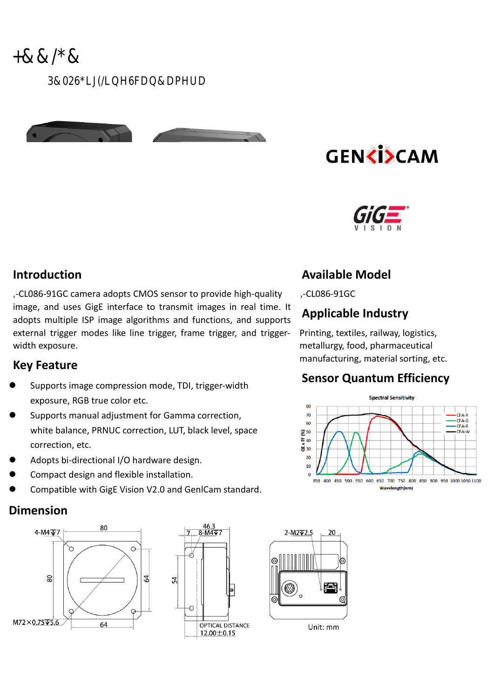# **GENKI>CAM**



#### **Introduction**

**,**-CL086-91GC camera adopts CMOS sensor to provide high-quality image, and uses GigE interface to transmit images in real time. It adopts multiple ISP image algorithms and functions, and supports external trigger modes like line trigger, frame trigger, and triggerwidth exposure.

#### **Key Feature**

- Supports image compression mode, TDI, trigger-width exposure, RGB true color etc.
- Supports manual adjustment for Gamma correction, white balance, PRNUC correction, LUT, black level, space correction, etc.
- Adopts bi-directional I/O hardware design.
- Compact design and flexible installation.
- Compatible with GigE Vision V2.0 and GenlCam standard.

#### **Dimension**





# **Available Model**

**,**-CL086-91GC

## **Applicable Industry**

Printing, textiles, railway, logistics, metallurgy, food, pharmaceutical manufacturing, material sorting, etc.

### **Sensor Quantum Efficiency**